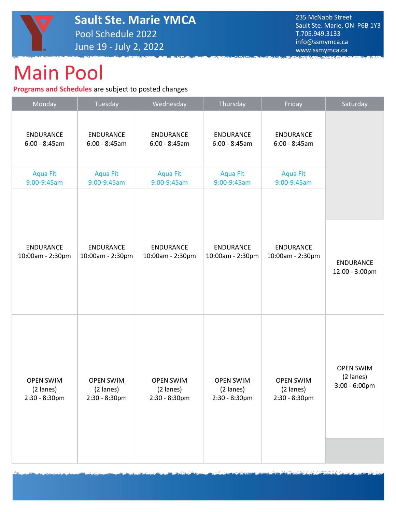

## Main Pool

**Programs and Schedules** are subject to posted changes

| Monday           | Tuesday          | Wednesday        | Thursday         | Friday           | Saturday         |
|------------------|------------------|------------------|------------------|------------------|------------------|
| <b>ENDURANCE</b> | <b>ENDURANCE</b> | <b>ENDURANCE</b> | <b>ENDURANCE</b> | <b>ENDURANCE</b> |                  |
| $6:00 - 8:45am$  | $6:00 - 8:45am$  | $6:00 - 8:45am$  | $6:00 - 8:45am$  | $6:00 - 8:45am$  |                  |
| <b>Aqua Fit</b>  | <b>Aqua Fit</b>  | <b>Aqua Fit</b>  | <b>Aqua Fit</b>  | <b>Aqua Fit</b>  |                  |
| 9:00-9:45am      | 9:00-9:45am      | 9:00-9:45am      | 9:00-9:45am      | 9:00-9:45am      |                  |
|                  |                  |                  |                  |                  |                  |
| <b>ENDURANCE</b> | <b>ENDURANCE</b> | <b>ENDURANCE</b> | <b>ENDURANCE</b> | <b>ENDURANCE</b> | <b>ENDURANCE</b> |
| 10:00am - 2:30pm | 10:00am - 2:30pm | 10:00am - 2:30pm | 10:00am - 2:30pm | 10:00am - 2:30pm | 12:00 - 3:00pm   |
| <b>OPEN SWIM</b> | <b>OPEN SWIM</b> | <b>OPEN SWIM</b> | <b>OPEN SWIM</b> | <b>OPEN SWIM</b> | <b>OPEN SWIM</b> |
| (2 lanes)        | (2 lanes)        | (2 lanes)        | (2 lanes)        | (2 lanes)        | (2 lanes)        |
| 2:30 - 8:30pm    | 2:30 - 8:30pm    | 2:30 - 8:30pm    | 2:30 - 8:30pm    | 2:30 - 8:30pm    | 3:00 - 6:00pm    |
|                  |                  |                  |                  |                  |                  |